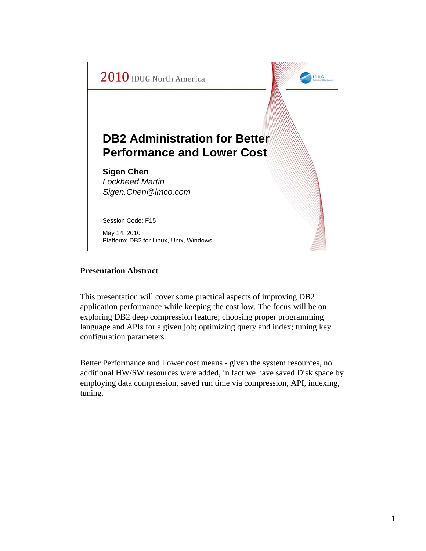

## **Presentation Abstract**

This presentation will cover some practical aspects of improving DB2 application performance while keeping the cost low. The focus will be on exploring DB2 deep compression feature; choosing proper programming language and APIs for a given job; optimizing query and index; tuning key configuration parameters.

Better Performance and Lower cost means - given the system resources, no additional HW/SW resources were added, in fact we have saved Disk space by employing data compression, saved run time via compression, API, indexing, tuning.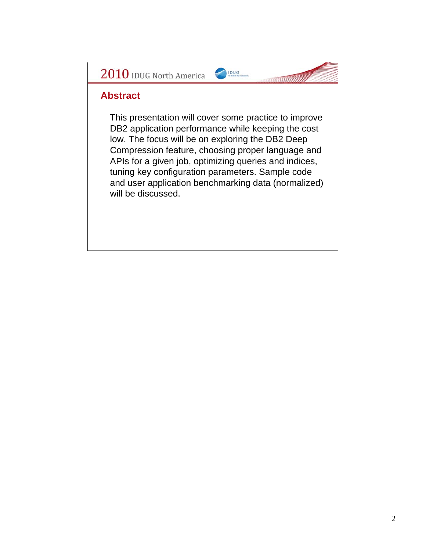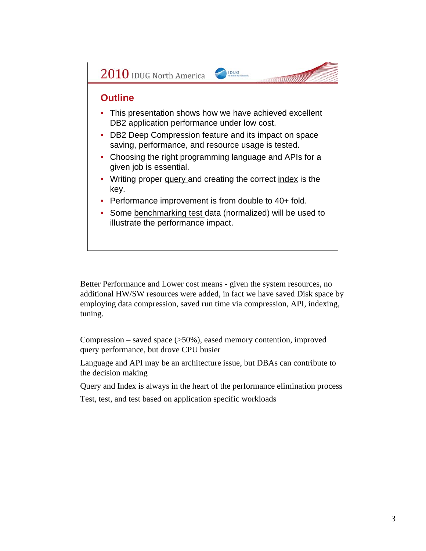

Better Performance and Lower cost means - given the system resources, no additional HW/SW resources were added, in fact we have saved Disk space by employing data compression, saved run time via compression, API, indexing, tuning.

Compression – saved space (>50%), eased memory contention, improved query performance, but drove CPU busier

Language and API may be an architecture issue, but DBAs can contribute to the decision making

Query and Index is always in the heart of the performance elimination process

Test, test, and test based on application specific workloads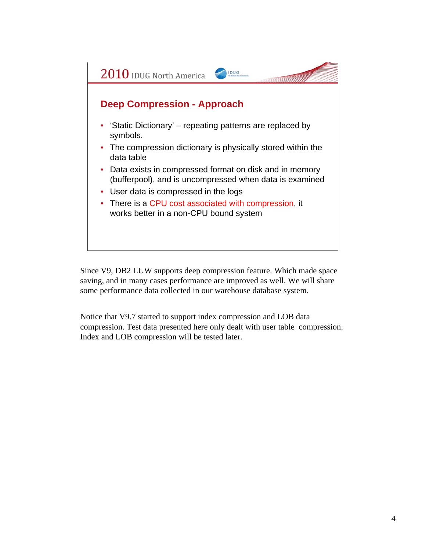

Since V9, DB2 LUW supports deep compression feature. Which made space saving, and in many cases performance are improved as well. We will share some performance data collected in our warehouse database system.

Notice that V9.7 started to support index compression and LOB data compression. Test data presented here only dealt with user table compression. Index and LOB compression will be tested later.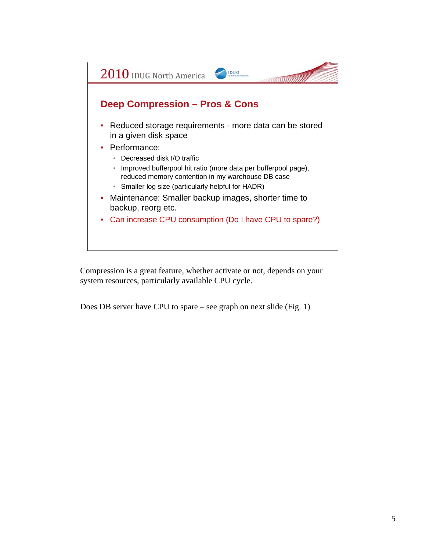

Compression is a great feature, whether activate or not, depends on your system resources, particularly available CPU cycle.

Does DB server have CPU to spare – see graph on next slide (Fig. 1)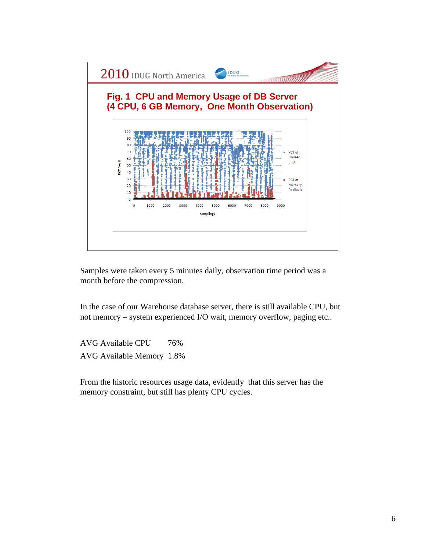

Samples were taken every 5 minutes daily, observation time period was a month before the compression.

In the case of our Warehouse database server, there is still available CPU, but not memory – system experienced I/O wait, memory overflow, paging etc..

AVG Available CPU 76% AVG Available Memory 1.8%

From the historic resources usage data, evidently that this server has the memory constraint, but still has plenty CPU cycles.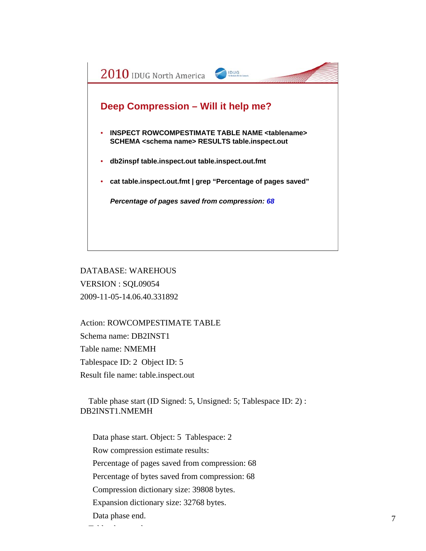

DATABASE: WAREHOUS VERSION : SQL09054 2009-11-05-14.06.40.331892

Action: ROWCOMPESTIMATE TABLE Schema name: DB2INST1 Table name: NMEMH Tablespace ID: 2 Object ID: 5 Result file name: table.inspect.out

Table phase start (ID Signed: 5, Unsigned: 5; Tablespace ID: 2) : DB2INST1.NMEMH

Data phase start. Object: 5 Tablespace: 2 Row compression estimate results: Percentage of pages saved from compression: 68 Percentage of bytes saved from compression: 68 Compression dictionary size: 39808 bytes. Expansion dictionary size: 32768 bytes. Data phase end. The design of the design of the design of the design of the design of the design of the design of the design o<br>The design of the design of the design of the design of the design of the design of the design of the design o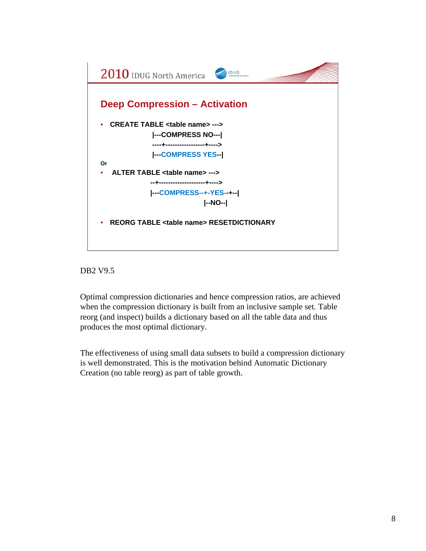



Optimal compression dictionaries and hence compression ratios, are achieved when the compression dictionary is built from an inclusive sample set. Table reorg (and inspect) builds a dictionary based on all the table data and thus produces the most optimal dictionary.

The effectiveness of using small data subsets to build a compression dictionary is well demonstrated. This is the motivation behind Automatic Dictionary Creation (no table reorg) as part of table growth.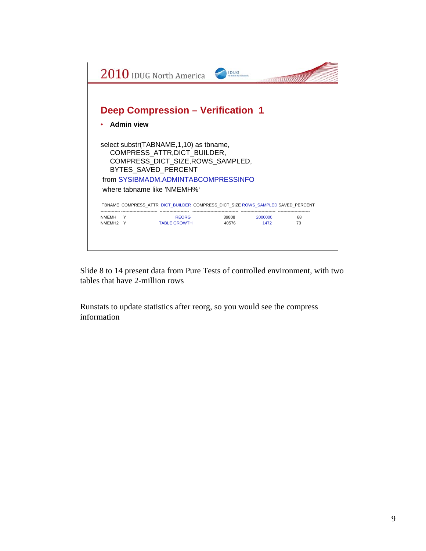

Slide 8 to 14 present data from Pure Tests of controlled environment, with two tables that have 2-million rows

Runstats to update statistics after reorg, so you would see the compress information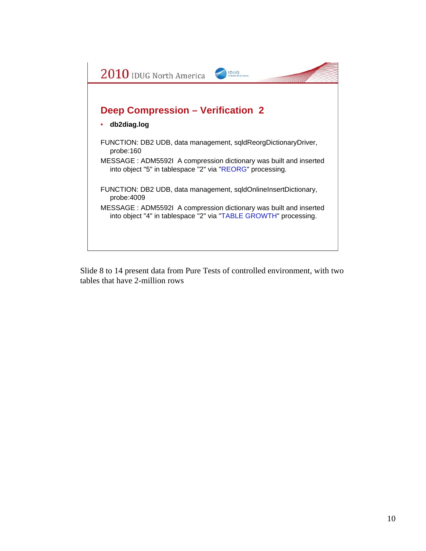

Slide 8 to 14 present data from Pure Tests of controlled environment, with two tables that have 2-million rows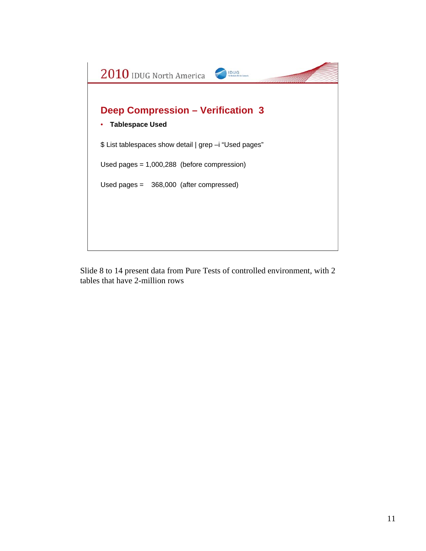

Slide 8 to 14 present data from Pure Tests of controlled environment, with 2 tables that have 2-million rows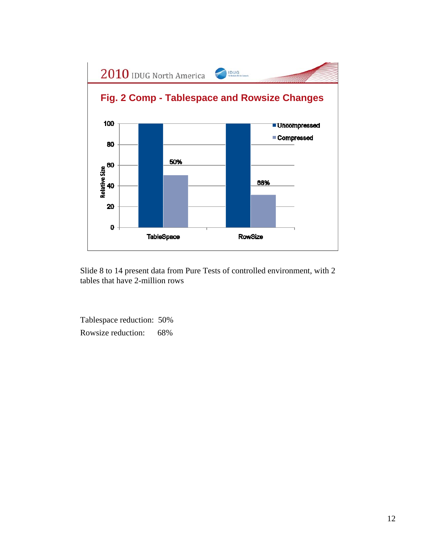

Slide 8 to 14 present data from Pure Tests of controlled environment, with 2 tables that have 2-million rows

Tablespace reduction: 50% Rowsize reduction: 68%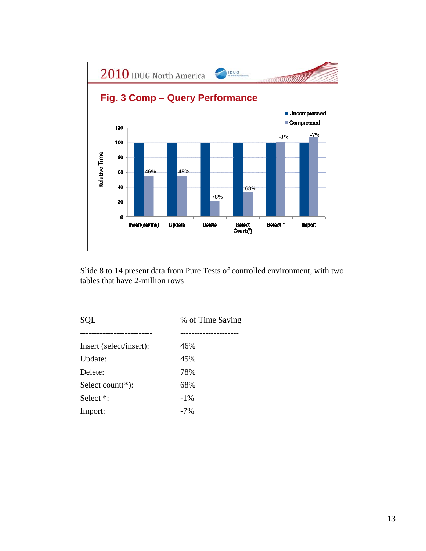

Slide 8 to 14 present data from Pure Tests of controlled environment, with two tables that have 2-million rows

SQL % of Time Saving -------------------------- --------------------- Insert (select/insert): 46% Update:  $45\%$ Delete: 78% Select count(\*): 68% Select  $*$ :  $-1\%$ Import:  $-7\%$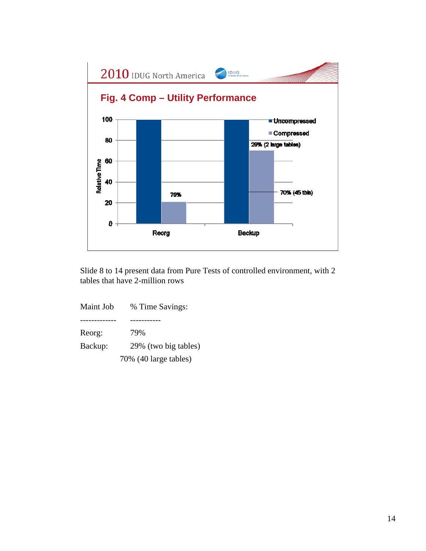

Slide 8 to 14 present data from Pure Tests of controlled environment, with 2 tables that have 2-million rows

Maint Job % Time Savings: ------------- ----------- Reorg: 79% Backup: 29% (two big tables) 70% (40 large tables)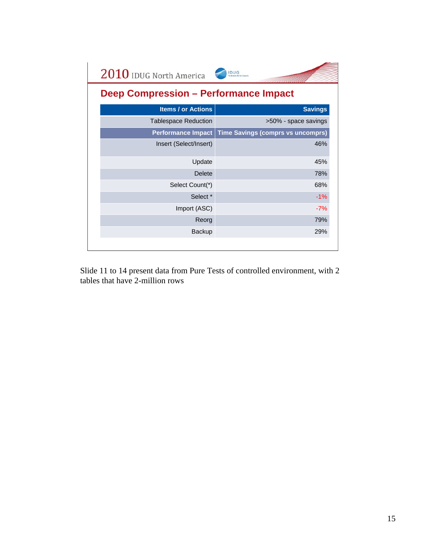| 2010 IDUG North America                      | <b>IDUG</b>                              |  |  |  |
|----------------------------------------------|------------------------------------------|--|--|--|
| <b>Deep Compression - Performance Impact</b> |                                          |  |  |  |
| <b>Items / or Actions</b>                    | <b>Savings</b>                           |  |  |  |
| <b>Tablespace Reduction</b>                  | >50% - space savings                     |  |  |  |
| <b>Performance Impact</b>                    | <b>Time Savings (comprs vs uncomprs)</b> |  |  |  |
| Insert (Select/Insert)                       | 46%                                      |  |  |  |
| Update                                       | 45%                                      |  |  |  |
| <b>Delete</b>                                | 78%                                      |  |  |  |
| Select Count(*)                              | 68%                                      |  |  |  |
| Select <sup>*</sup>                          | $-1%$                                    |  |  |  |
| Import (ASC)                                 | $-7%$                                    |  |  |  |
| Reorg                                        | 79%                                      |  |  |  |
| Backup                                       | 29%                                      |  |  |  |
|                                              |                                          |  |  |  |

Slide 11 to 14 present data from Pure Tests of controlled environment, with 2 tables that have 2-million rows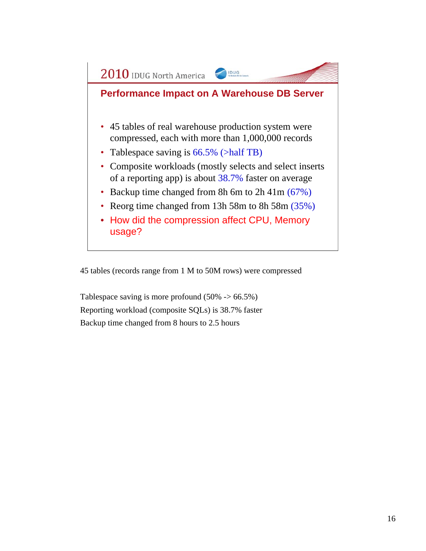

45 tables (records range from 1 M to 50M rows) were compressed

Tablespace saving is more profound  $(50\% \rightarrow 66.5\%)$ Reporting workload (composite SQLs) is 38.7% faster Backup time changed from 8 hours to 2.5 hours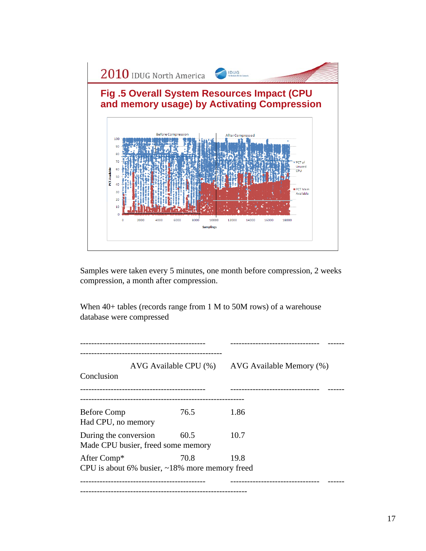

Samples were taken every 5 minutes, one month before compression, 2 weeks compression, a month after compression.

When  $40+$  tables (records range from 1 M to 50M rows) of a warehouse database were compressed

--------------------------------------------- -------------------------------- ------ --------------------------------------------------- AVG Available CPU (%) AVG Available Memory (%) Conclusion --------------------------------------------- -------------------------------- ------ ----------------------------------------------------------- Before Comp 76.5 1.86 Had CPU, no memory During the conversion 60.5 10.7 Made CPU busier, freed some memory After Comp\* 70.8 19.8 CPU is about 6% busier, ~18% more memory freed --------------------------------------------- -------------------------------- ------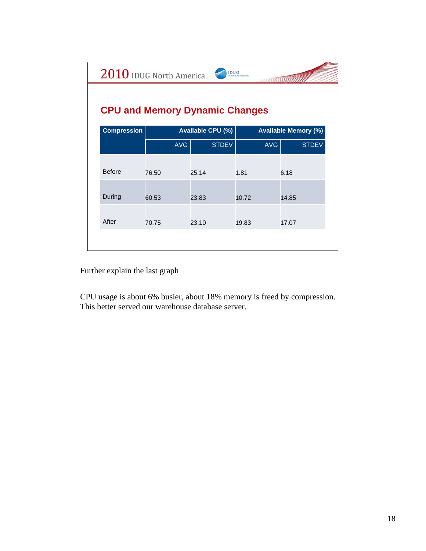| 2010 IDUG North America<br><b>IDUG</b> |                   |              |                             |              |  |  |  |
|----------------------------------------|-------------------|--------------|-----------------------------|--------------|--|--|--|
| <b>CPU and Memory Dynamic Changes</b>  |                   |              |                             |              |  |  |  |
| <b>Compression</b>                     | Available CPU (%) |              | <b>Available Memory (%)</b> |              |  |  |  |
|                                        | <b>AVG</b>        | <b>STDEV</b> | <b>AVG</b>                  | <b>STDEV</b> |  |  |  |
| <b>Before</b>                          | 76.50             | 25.14        | 1.81                        | 6.18         |  |  |  |
| During                                 | 60.53             | 23.83        | 10.72                       | 14.85        |  |  |  |
| After                                  | 70.75             | 23.10        | 19.83                       | 17.07        |  |  |  |
|                                        |                   |              |                             |              |  |  |  |

Further explain the last graph

CPU usage is about 6% busier, about 18% memory is freed by compression. This better served our warehouse database server.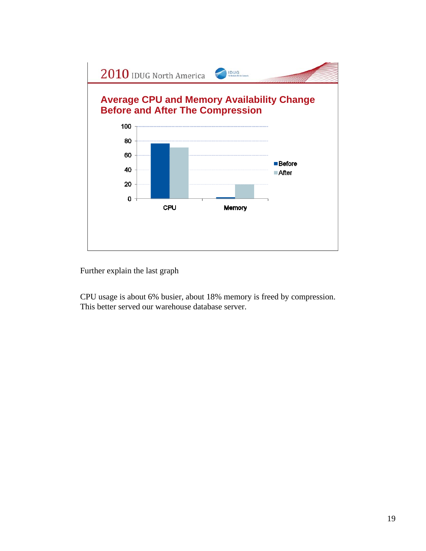

Further explain the last graph

CPU usage is about 6% busier, about 18% memory is freed by compression. This better served our warehouse database server.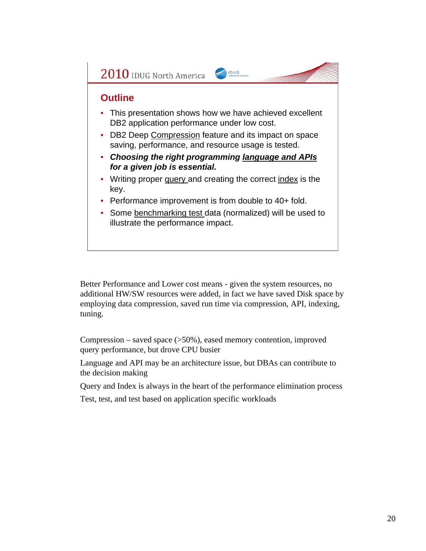

Better Performance and Lower cost means - given the system resources, no additional HW/SW resources were added, in fact we have saved Disk space by employing data compression, saved run time via compression, API, indexing, tuning.

Compression – saved space (>50%), eased memory contention, improved query performance, but drove CPU busier

Language and API may be an architecture issue, but DBAs can contribute to the decision making

Query and Index is always in the heart of the performance elimination process

Test, test, and test based on application specific workloads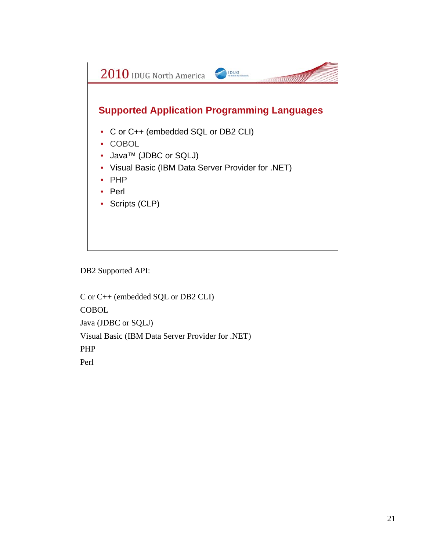

DB2 Supported API:

C or C++ (embedded SQL or DB2 CLI) **COBOL** Java (JDBC or SQLJ) Visual Basic (IBM Data Server Provider for .NET) PHP Perl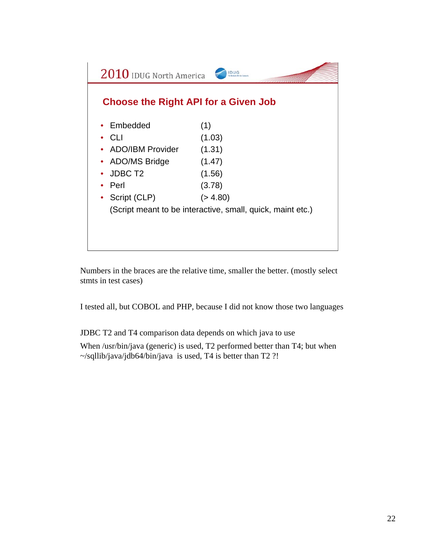

Numbers in the braces are the relative time, smaller the better. (mostly select stmts in test cases)

I tested all, but COBOL and PHP, because I did not know those two languages

JDBC T2 and T4 comparison data depends on which java to use

When /usr/bin/java (generic) is used, T2 performed better than T4; but when ~/sqllib/java/jdb64/bin/java is used, T4 is better than T2 ?!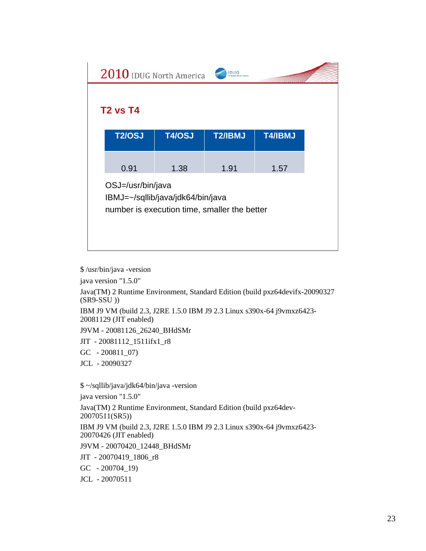\$ /usr/bin/java -version java version "1.5.0" Java(TM) 2 Runtime Environment, Standard Edition (build pxz64devifx-20090327 (SR9-SSU )) IBM J9 VM (build 2.3, J2RE 1.5.0 IBM J9 2.3 Linux s390x-64 j9vmxz6423- 20081129 (JIT enabled) J9VM - 20081126\_26240\_BHdSMr JIT - 20081112\_1511ifx1\_r8 GC - 200811\_07) JCL - 20090327 \$ ~/sqllib/java/jdk64/bin/java -version java version "1.5.0" Java(TM) 2 Runtime Environment, Standard Edition (build pxz64dev-20070511(SR5)) IBM J9 VM (build 2.3, J2RE 1.5.0 IBM J9 2.3 Linux s390x-64 j9vmxz6423- 20070426 (JIT enabled) J9VM - 20070420\_12448\_BHdSMr JIT - 20070419\_1806\_r8

GC - 200704\_19)

JCL - 20070511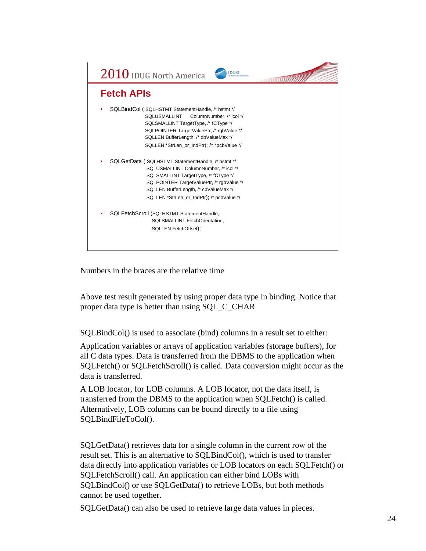

Numbers in the braces are the relative time

Above test result generated by using proper data type in binding. Notice that proper data type is better than using SQL\_C\_CHAR

SQLBindCol() is used to associate (bind) columns in a result set to either:

Application variables or arrays of application variables (storage buffers), for all C data types. Data is transferred from the DBMS to the application when SQLFetch() or SQLFetchScroll() is called. Data conversion might occur as the data is transferred.

A LOB locator, for LOB columns. A LOB locator, not the data itself, is transferred from the DBMS to the application when SQLFetch() is called. Alternatively, LOB columns can be bound directly to a file using SQLBindFileToCol().

SQLGetData() retrieves data for a single column in the current row of the result set. This is an alternative to SQLBindCol(), which is used to transfer data directly into application variables or LOB locators on each SQLFetch() or SQLFetchScroll() call. An application can either bind LOBs with SQLBindCol() or use SQLGetData() to retrieve LOBs, but both methods cannot be used together.

SQLGetData() can also be used to retrieve large data values in pieces.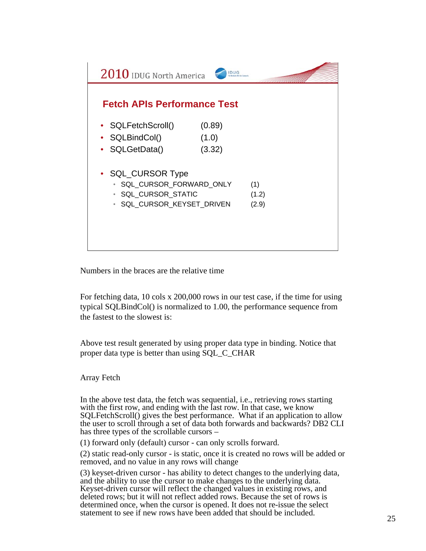| $2010$ IDUG North America          | IDUG   |       |
|------------------------------------|--------|-------|
| <b>Fetch APIs Performance Test</b> |        |       |
|                                    |        |       |
| • SQLFetchScroll()                 | (0.89) |       |
| • SQLBindCol()                     | (1.0)  |       |
| • SQLGetData()                     | (3.32) |       |
|                                    |        |       |
| • SQL_CURSOR Type                  |        |       |
| · SQL_CURSOR_FORWARD_ONLY          |        | (1)   |
| · SQL_CURSOR_STATIC                |        | (1.2) |
| · SQL_CURSOR_KEYSET_DRIVEN         |        | (2.9) |
|                                    |        |       |
|                                    |        |       |
|                                    |        |       |
|                                    |        |       |

Numbers in the braces are the relative time

For fetching data, 10 cols x 200,000 rows in our test case, if the time for using typical SQLBindCol() is normalized to 1.00, the performance sequence from the fastest to the slowest is:

Above test result generated by using proper data type in binding. Notice that proper data type is better than using SQL\_C\_CHAR

## Array Fetch

In the above test data, the fetch was sequential, i.e., retrieving rows starting with the first row, and ending with the last row. In that case, we know SQLFetchScroll() gives the best performance. What if an application to allow the user to scroll through a set of data both forwards and backwards? DB2 CLI has three types of the scrollable cursors –

(1) forward only (default) cursor - can only scrolls forward.

(2) static read-only cursor - is static, once it is created no rows will be added or removed, and no value in any rows will change

(3) keyset-driven cursor - has ability to detect changes to the underlying data, and the ability to use the cursor to make changes to the underlying data. Keyset-driven cursor will reflect the changed values in existing rows, and deleted rows; but it will not reflect added rows. Because the set of rows is determined once, when the cursor is opened. It does not re-issue the select statement to see if new rows have been added that should be included.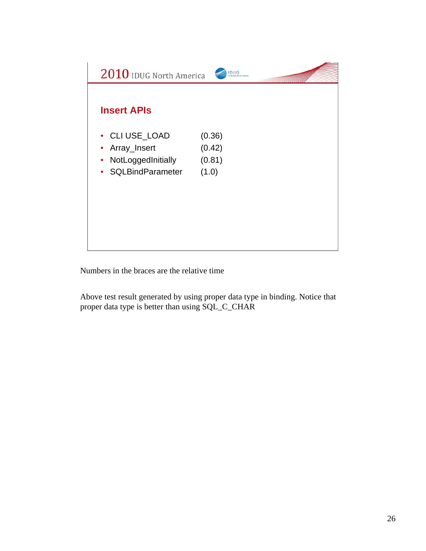

Numbers in the braces are the relative time

Above test result generated by using proper data type in binding. Notice that proper data type is better than using SQL\_C\_CHAR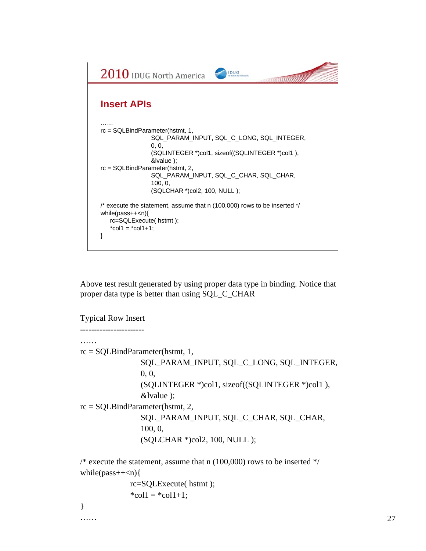

Above test result generated by using proper data type in binding. Notice that proper data type is better than using SQL\_C\_CHAR

Typical Row Insert ----------------------- …… rc = SQLBindParameter(hstmt, 1, SQL\_PARAM\_INPUT, SQL\_C\_LONG, SQL\_INTEGER, 0, 0, (SQLINTEGER \*)col1, sizeof((SQLINTEGER \*)col1 ), &lvalue ); rc = SQLBindParameter(hstmt, 2, SQL\_PARAM\_INPUT, SQL\_C\_CHAR, SQL\_CHAR, 100, 0, (SQLCHAR \*)col2, 100, NULL ); /\* execute the statement, assume that n  $(100,000)$  rows to be inserted \*/ while( $pass++<sub>n</sub>$ ){

```
rc=SQLExecute( hstmt );
*col1 = *col1 + 1;
```
}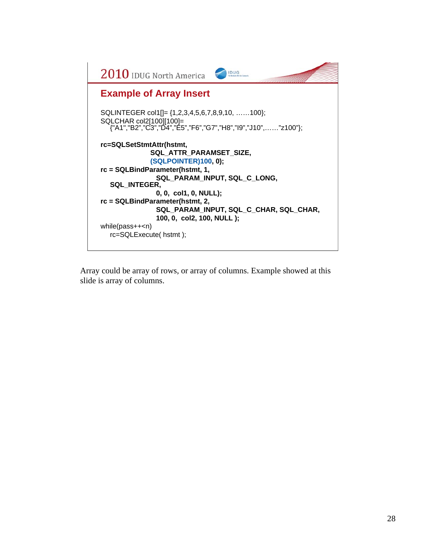

Array could be array of rows, or array of columns. Example showed at this slide is array of columns.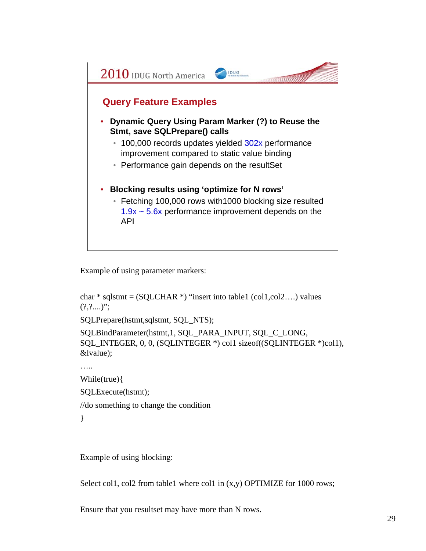

Example of using parameter markers:

```
char * sqlstmt = (SQLCHAR *) "insert into table1 (col1,col2....) values
(?,?....)";
```
SQLPrepare(hstmt,sqlstmt, SQL\_NTS);

SQLBindParameter(hstmt,1, SQL\_PARA\_INPUT, SQL\_C\_LONG, SQL\_INTEGER, 0, 0, (SQLINTEGER \*) col1 sizeof((SQLINTEGER \*)col1), &lvalue);

…..

While(true){

SQLExecute(hstmt);

//do something to change the condition

}

Example of using blocking:

Select col1, col2 from table1 where col1 in (x,y) OPTIMIZE for 1000 rows;

Ensure that you resultset may have more than N rows.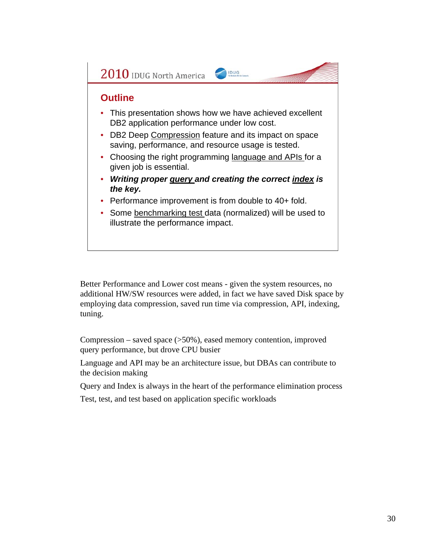

Better Performance and Lower cost means - given the system resources, no additional HW/SW resources were added, in fact we have saved Disk space by employing data compression, saved run time via compression, API, indexing, tuning.

Compression – saved space (>50%), eased memory contention, improved query performance, but drove CPU busier

Language and API may be an architecture issue, but DBAs can contribute to the decision making

Query and Index is always in the heart of the performance elimination process

Test, test, and test based on application specific workloads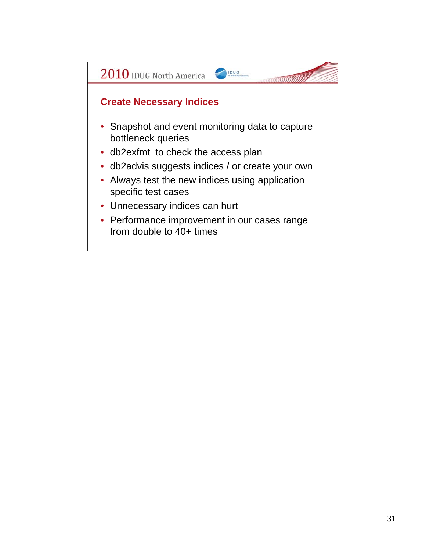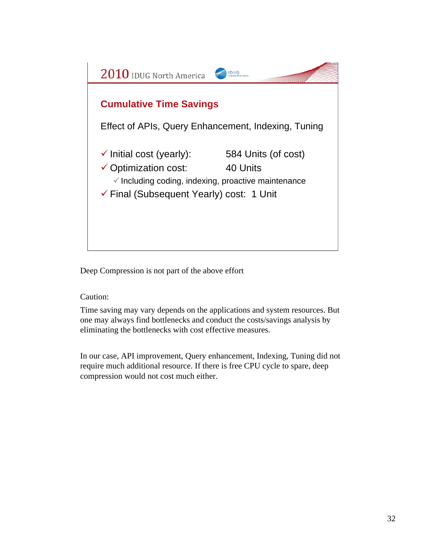

Deep Compression is not part of the above effort

Caution:

Time saving may vary depends on the applications and system resources. But one may always find bottlenecks and conduct the costs/savings analysis by eliminating the bottlenecks with cost effective measures.

In our case, API improvement, Query enhancement, Indexing, Tuning did not require much additional resource. If there is free CPU cycle to spare, deep compression would not cost much either.